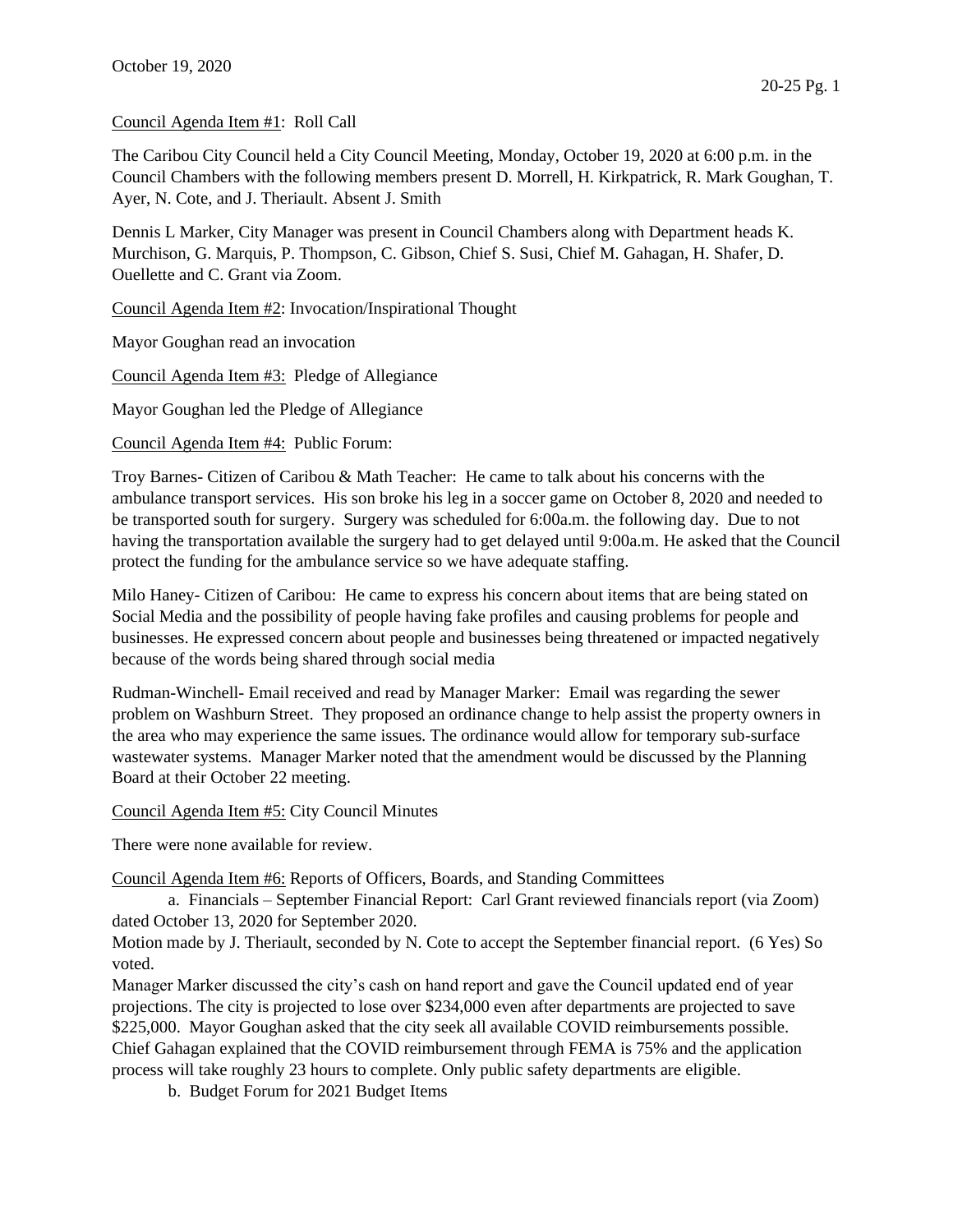## Council Agenda Item #1: Roll Call

The Caribou City Council held a City Council Meeting, Monday, October 19, 2020 at 6:00 p.m. in the Council Chambers with the following members present D. Morrell, H. Kirkpatrick, R. Mark Goughan, T. Ayer, N. Cote, and J. Theriault. Absent J. Smith

Dennis L Marker, City Manager was present in Council Chambers along with Department heads K. Murchison, G. Marquis, P. Thompson, C. Gibson, Chief S. Susi, Chief M. Gahagan, H. Shafer, D. Ouellette and C. Grant via Zoom.

Council Agenda Item #2: Invocation/Inspirational Thought

Mayor Goughan read an invocation

Council Agenda Item #3: Pledge of Allegiance

Mayor Goughan led the Pledge of Allegiance

Council Agenda Item #4: Public Forum:

Troy Barnes- Citizen of Caribou & Math Teacher: He came to talk about his concerns with the ambulance transport services. His son broke his leg in a soccer game on October 8, 2020 and needed to be transported south for surgery. Surgery was scheduled for 6:00a.m. the following day. Due to not having the transportation available the surgery had to get delayed until 9:00a.m. He asked that the Council protect the funding for the ambulance service so we have adequate staffing.

Milo Haney- Citizen of Caribou: He came to express his concern about items that are being stated on Social Media and the possibility of people having fake profiles and causing problems for people and businesses. He expressed concern about people and businesses being threatened or impacted negatively because of the words being shared through social media

Rudman-Winchell- Email received and read by Manager Marker: Email was regarding the sewer problem on Washburn Street. They proposed an ordinance change to help assist the property owners in the area who may experience the same issues. The ordinance would allow for temporary sub-surface wastewater systems. Manager Marker noted that the amendment would be discussed by the Planning Board at their October 22 meeting.

Council Agenda Item #5: City Council Minutes

There were none available for review.

Council Agenda Item #6: Reports of Officers, Boards, and Standing Committees

a. Financials – September Financial Report: Carl Grant reviewed financials report (via Zoom) dated October 13, 2020 for September 2020.

Motion made by J. Theriault, seconded by N. Cote to accept the September financial report. (6 Yes) So voted.

Manager Marker discussed the city's cash on hand report and gave the Council updated end of year projections. The city is projected to lose over \$234,000 even after departments are projected to save \$225,000. Mayor Goughan asked that the city seek all available COVID reimbursements possible. Chief Gahagan explained that the COVID reimbursement through FEMA is 75% and the application process will take roughly 23 hours to complete. Only public safety departments are eligible.

b. Budget Forum for 2021 Budget Items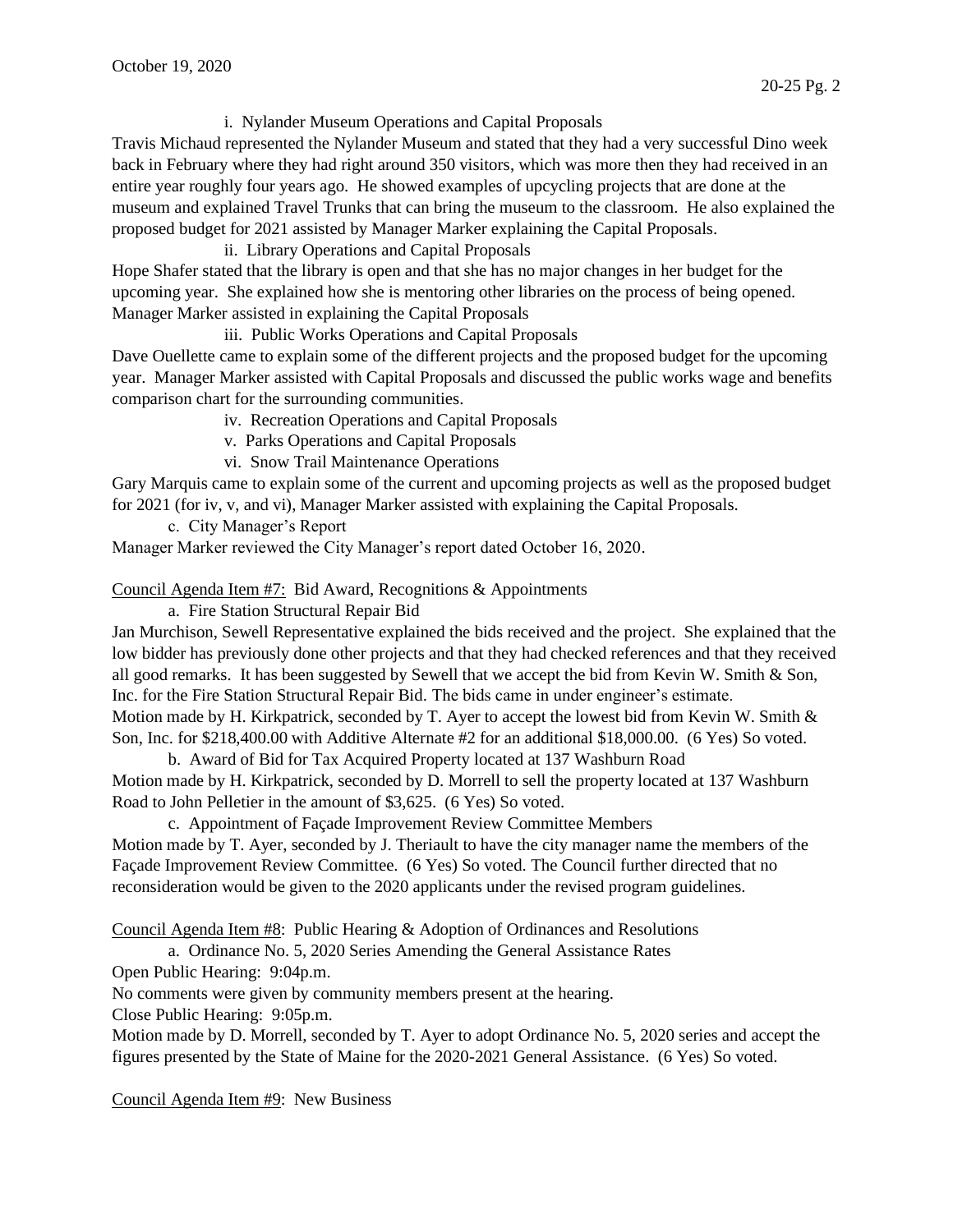i. Nylander Museum Operations and Capital Proposals

Travis Michaud represented the Nylander Museum and stated that they had a very successful Dino week back in February where they had right around 350 visitors, which was more then they had received in an entire year roughly four years ago. He showed examples of upcycling projects that are done at the museum and explained Travel Trunks that can bring the museum to the classroom. He also explained the proposed budget for 2021 assisted by Manager Marker explaining the Capital Proposals.

ii. Library Operations and Capital Proposals

Hope Shafer stated that the library is open and that she has no major changes in her budget for the upcoming year. She explained how she is mentoring other libraries on the process of being opened. Manager Marker assisted in explaining the Capital Proposals

iii. Public Works Operations and Capital Proposals

Dave Ouellette came to explain some of the different projects and the proposed budget for the upcoming year. Manager Marker assisted with Capital Proposals and discussed the public works wage and benefits comparison chart for the surrounding communities.

iv. Recreation Operations and Capital Proposals

v. Parks Operations and Capital Proposals

vi. Snow Trail Maintenance Operations

Gary Marquis came to explain some of the current and upcoming projects as well as the proposed budget for 2021 (for iv, v, and vi), Manager Marker assisted with explaining the Capital Proposals.

c. City Manager's Report

Manager Marker reviewed the City Manager's report dated October 16, 2020.

Council Agenda Item #7: Bid Award, Recognitions & Appointments

a. Fire Station Structural Repair Bid

Jan Murchison, Sewell Representative explained the bids received and the project. She explained that the low bidder has previously done other projects and that they had checked references and that they received all good remarks. It has been suggested by Sewell that we accept the bid from Kevin W. Smith & Son, Inc. for the Fire Station Structural Repair Bid. The bids came in under engineer's estimate.

Motion made by H. Kirkpatrick, seconded by T. Ayer to accept the lowest bid from Kevin W. Smith  $\&$ Son, Inc. for \$218,400.00 with Additive Alternate #2 for an additional \$18,000.00. (6 Yes) So voted.

b. Award of Bid for Tax Acquired Property located at 137 Washburn Road Motion made by H. Kirkpatrick, seconded by D. Morrell to sell the property located at 137 Washburn Road to John Pelletier in the amount of \$3,625. (6 Yes) So voted.

c. Appointment of Façade Improvement Review Committee Members

Motion made by T. Ayer, seconded by J. Theriault to have the city manager name the members of the Façade Improvement Review Committee. (6 Yes) So voted. The Council further directed that no reconsideration would be given to the 2020 applicants under the revised program guidelines.

Council Agenda Item #8: Public Hearing & Adoption of Ordinances and Resolutions

a. Ordinance No. 5, 2020 Series Amending the General Assistance Rates

Open Public Hearing: 9:04p.m.

No comments were given by community members present at the hearing.

Close Public Hearing: 9:05p.m.

Motion made by D. Morrell, seconded by T. Ayer to adopt Ordinance No. 5, 2020 series and accept the figures presented by the State of Maine for the 2020-2021 General Assistance. (6 Yes) So voted.

Council Agenda Item #9: New Business